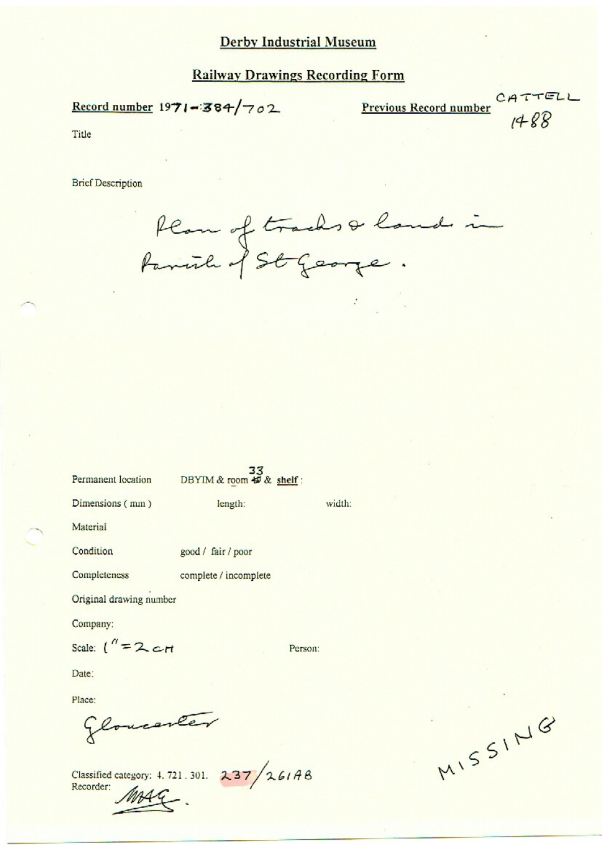#### **Railway Drawings Recording Form**

Record number 1971-384/702

Previous Record number Cr

 $1400$ 

Title

**Brief Description** 

flan of tracks & land in

| Permanent location DBYIM & room # & shelf : |                       |         |        |
|---------------------------------------------|-----------------------|---------|--------|
| Dimensions (mm)                             | length:               |         | width: |
| Material                                    |                       |         |        |
| Condition                                   | good / fair / poor    |         |        |
| Completeness                                | complete / incomplete |         |        |
| Original drawing number                     |                       |         |        |
| Company:                                    |                       |         |        |
| Scale: $\binom{n}{2}$ $\epsilon$ rt         |                       | Person: |        |
| Date:                                       |                       |         |        |
| Place:                                      |                       |         |        |
| Glovesner                                   |                       |         |        |

Classified category: 4.721.301. 237/261AB Recorder:

MISSING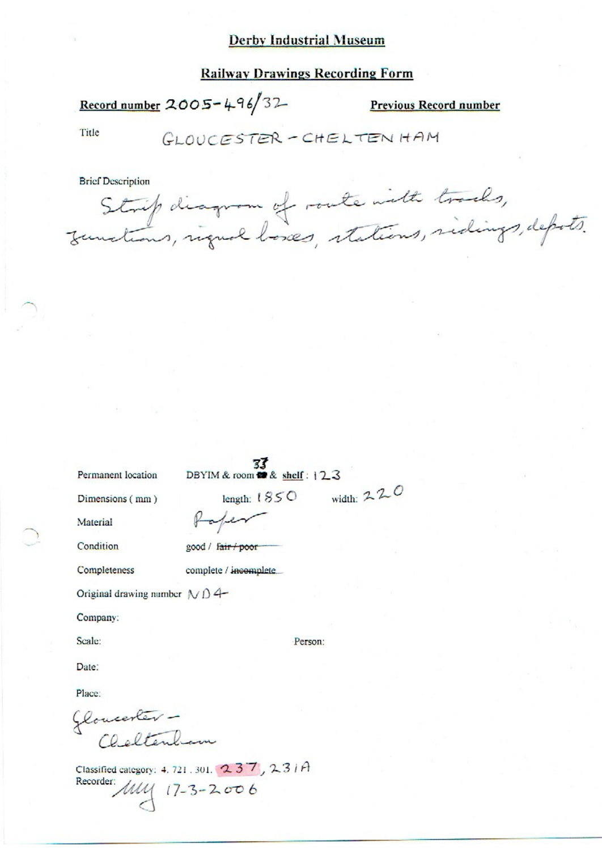#### **Railway Drawings Recording Form**

Record number 2005-496/32

**Previous Record number** 

Title

GLOUCESTER-CHELTENHAM

**Brief Description** 

Strip diagram of route with tracks,<br>Junctions, rigual loses, stations, sidings, depots.

Permanent location

DBYIM & room  $\bullet$  & shelf: 123 width:  $220$ 

length:  $1850$ 

Dimensions (mm)

Material

Condition

good / fair / poor

Paper

Completeness

complete / incomplete

Original drawing number  $N\Delta$ 4-

Company:

Scale:

Person:

Date:

Place:

Gloucester -<br>Cheltenham

Classified category: 4, 721, 301, 237, 23/A Recorder:  $\mu$ <br>17-3-2006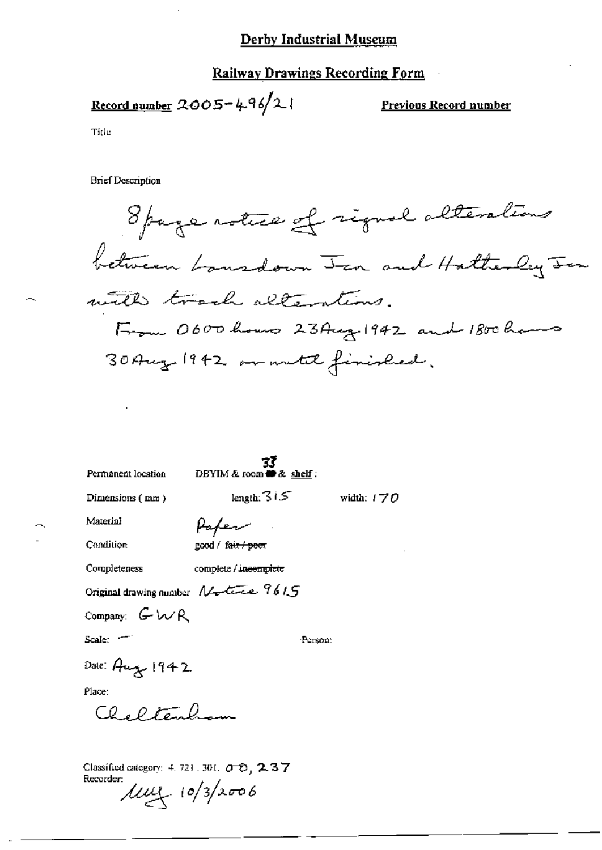#### **Railway Drawings Recording Form**

Record number  $2005 - 496/2$ 

Previous Record number

Title

**Brief Description** 

8 page notice of rigual alterations between bansdown Jan and Hatterley Jen with track alterations. From 0600 hours 23 Aug 1942 and 1800 hours 30 Aug 1942 or metil finished.

| Permanent location    | ΞĪ<br>DEYIM & room $\clubsuit$ & shelf: |              |
|-----------------------|-----------------------------------------|--------------|
| Dimensions (mm)       | length: 315                             | width: $170$ |
| Material              | Hafen                                   |              |
| Condition             | good / क्षि <del>त / poor</del>         |              |
| Completeness          | complete / in <del>complete</del>       |              |
|                       | Original drawing number Notice 9615     |              |
| Company: $G \wedge R$ |                                         |              |
| Scale: T              | Person:                                 |              |
| Date: Aug 1942        |                                         |              |
| Place:                |                                         |              |
| Cheltenhow            |                                         |              |
|                       |                                         |              |
|                       |                                         |              |

Classified category: 4, 721, 301,  $\sigma$   $\sigma$ , 2, 3, 7 Recorder:  $\mu$  $\mu$   $(0/3/x006$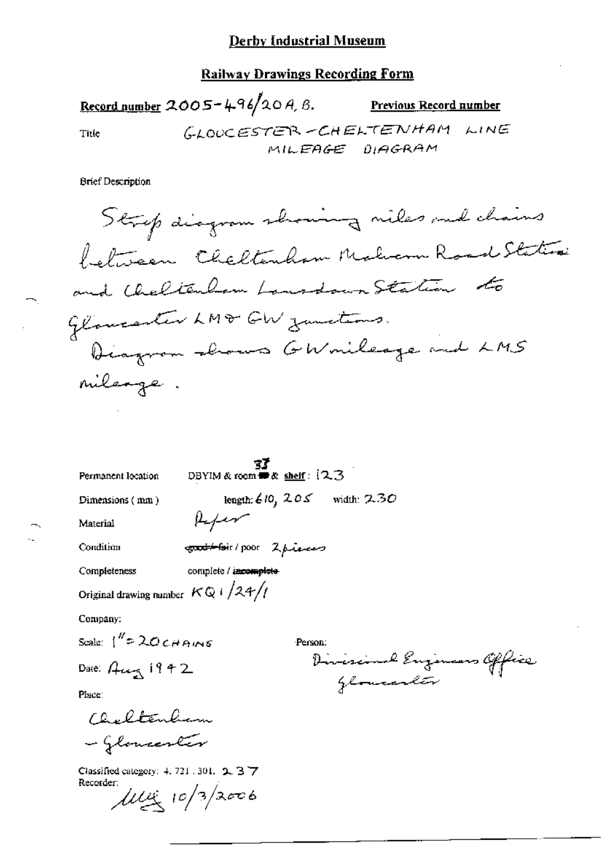#### **Railway Drawings Recording Form**

Record number 2005-496/20A, B. Previous Record number GLOUCESTER-CHELTENHAM LINE Title MILEAGE DIAGRAM

**Brief Description** 

Strip diagram showing niles and chains between Cheltenham Maler Road Station and Cheltenham Lansdown Station to Glancenter LM& GW zumetimes. Diagram shows GWmileage and LMS mileage.

| Permanent location                         | DBYIM & room $\blacksquare$ & shelf: $(2.3)$ |                                |
|--------------------------------------------|----------------------------------------------|--------------------------------|
| Dimensions (mm)                            |                                              | length: $610, 205$ width: 2.30 |
| Material                                   | Kefer                                        |                                |
| Condition                                  | contation 2 present                          |                                |
| Completeness                               | complete / incomplete                        |                                |
| Original drawing number $KQ + \sqrt{24}/l$ |                                              |                                |
| Company:                                   |                                              |                                |
| Scale: $1''$ = 20 $CHAMS$                  |                                              | Person:                        |
| Dale: $\beta$ ung 1942                     |                                              |                                |

Enzimans Office *Glomander* 

Place:

Cheltenham - Glomenter

Classified category: 4, 721, 301, 2, 3 7 Recorder:  $\mu$ uiz 10/3/2006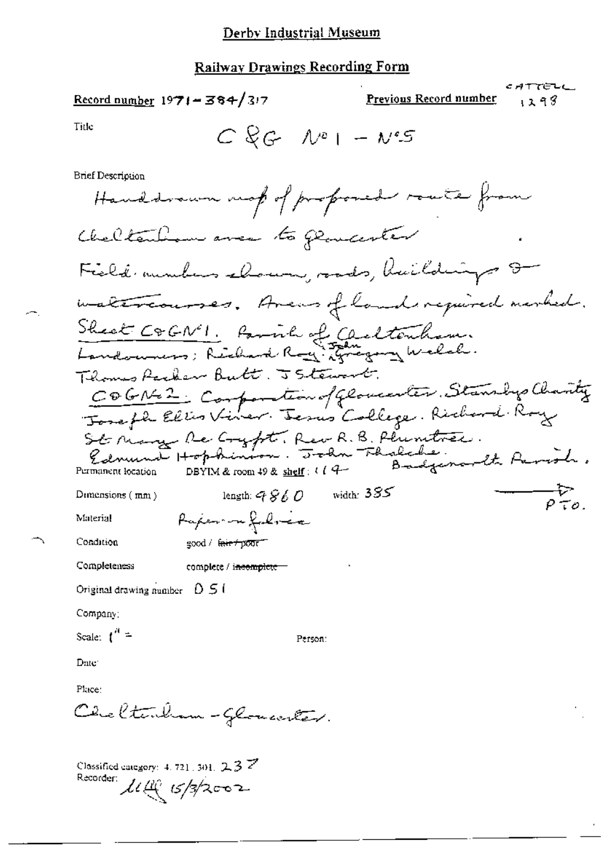#### **Railway Drawings Recording Form**

E ATTELL Previous Record number  $Record number 1971 - 384/317$ 93 ء ، Title  $C$  & G  $N^{e}$  |  $- N^{e}S$ **Brief Description** Handsvaun mot of proposed route from Cheltenhow avec to parater Field aunters chours, roads, haildings 8 inattranses. Avens of land required membed. Sheat COGN'I. Parish of Carltonham.<br>Landonnes: Richard Ray: Fragery Welch. Thomas Packer Butt. 5 Stewart. COGNEZ Composition of Glovenster, Stansby Charity St Many Re Cryfst, Rev R. B. Phimitres.<br>Edmund Hopkinson. John Fhalche.<br>ormanen location DBYIM&room 40 & shelf: 114 Badgenardt Parish. Permanent location —τ><br>Ρτο. length:  $9860$  width:  $385$ Dimensions (mm) Paperson folice Material Condition good / f<del>air/poor"</del> Completeness complete / i<del>ncomplete =</del> Original drawing number  $\Box$  5  $\Box$ Company; Scale:  $\int_0^R$  = Person: Date: Place: Cheltenham-Glomenter. Classified category:  $4.721,301, 2.3$   $\overline{Z}$ 

Recorder: *11(1) 15/3/2002*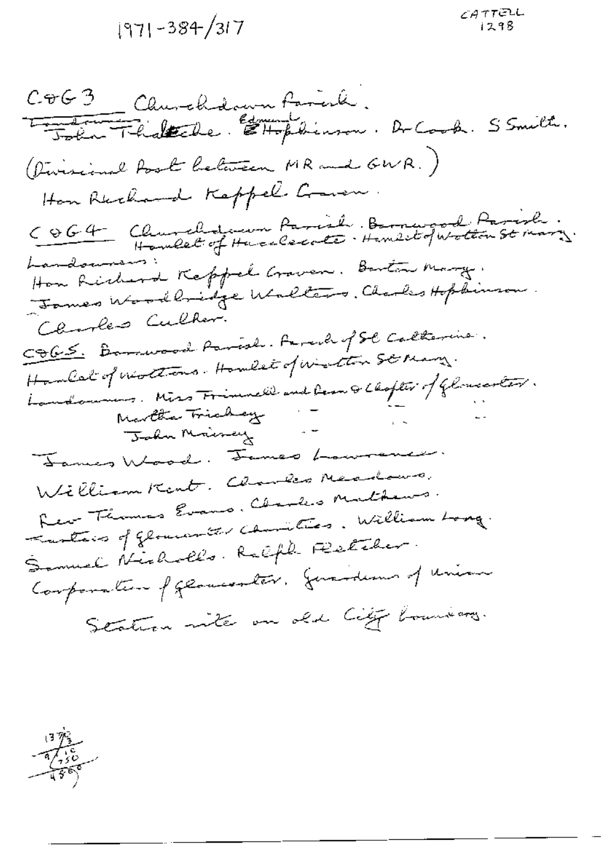1971-384/317

COG3 Churchdown Fariah.<br><del>Light Fhiskale</del> Ethophinson. Dr Cook. S Smith. (Divisional Post Celevision MR and GWR.) Hon Rechard Keppel Course. COG4 Churchdeum Parish Barnwood Parish. Landowners: How Richard Keppel Groven. Barton Marg. James Woodlnidge Walters. Charles Hopkinson. Clarkes Culhar. COGS. Barrison Parish. Farcil of St Calterine. Hambert of neotherns. Howlet of winter ste many. Landouis, Miss Frimmell and Leon & Choples of Glomosotar.<br>Navelta Triaday -<br>John Mairey -James Wood. James Laurence. William Kent. Charles Neadows. Rev Thomas Evans. Charles Mathews. Turties of glower the comption. William Long. Samuel Nicholls. Ralph Platcher. Conformation of geometrics, generations of union Station with an old City boundary.

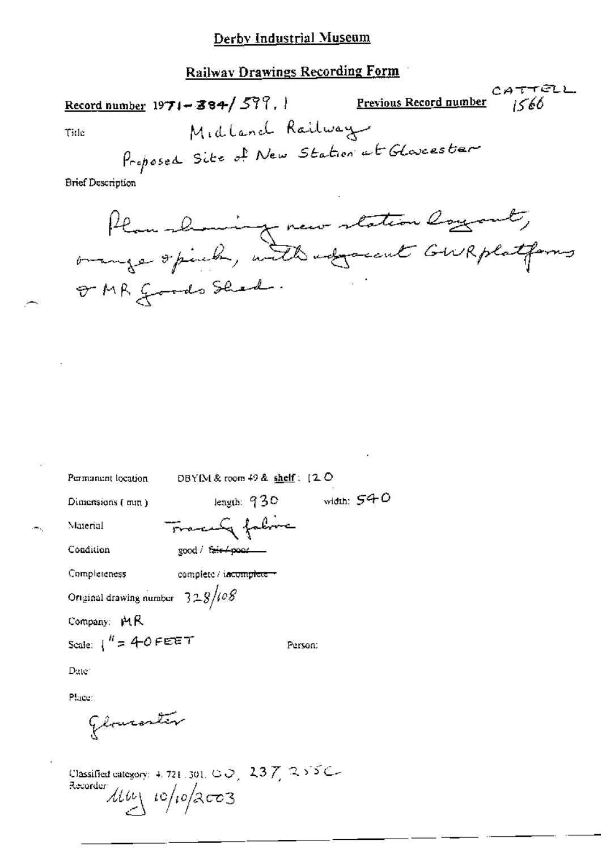**Railway Drawings Recording Form** 

CATTELL Record number  $1971 - 384 / 599$ . Previous Record number  $1566$ Midland Railway Title Proposed Site of New Station of Glovesster

**Brief Description** 

Plan showing new station loyant, OMR goods Shed.

| Permanent location                                                                                                    | DBYIM & room $49$ & shelf: $12$ O |
|-----------------------------------------------------------------------------------------------------------------------|-----------------------------------|
| Dimensions (mm)                                                                                                       | width: 540<br>length: $930$       |
| Material                                                                                                              | Tracely fabric                    |
| Condition<br>good / fair/poor                                                                                         |                                   |
| Completeness                                                                                                          | complete / incomplete +           |
| Original drawing number $328/108$                                                                                     |                                   |
| Company: MR                                                                                                           |                                   |
| Scale: $1'' = 40$ FEET                                                                                                | Person:                           |
| Date                                                                                                                  |                                   |
| Place:                                                                                                                |                                   |
| Glouranter                                                                                                            |                                   |
| Classified category: 4, 721, 301, C $\bigcirc$ , 2,3 $\bigtimes$ 2,5 $\bigcirc$<br>22. augustus valdus valdusta paavi |                                   |

 $\frac{1}{2}$   $\frac{1}{2}$   $\frac{1}{2}$   $\frac{1}{2}$   $\frac{1}{2}$   $\frac{1}{2}$   $\frac{1}{2}$   $\frac{1}{2}$   $\frac{1}{2}$   $\frac{1}{2}$   $\frac{1}{2}$   $\frac{1}{2}$   $\frac{1}{2}$   $\frac{1}{2}$   $\frac{1}{2}$   $\frac{1}{2}$   $\frac{1}{2}$   $\frac{1}{2}$   $\frac{1}{2}$   $\frac{1}{2}$   $\frac{1}{2}$   $\frac{1}{2}$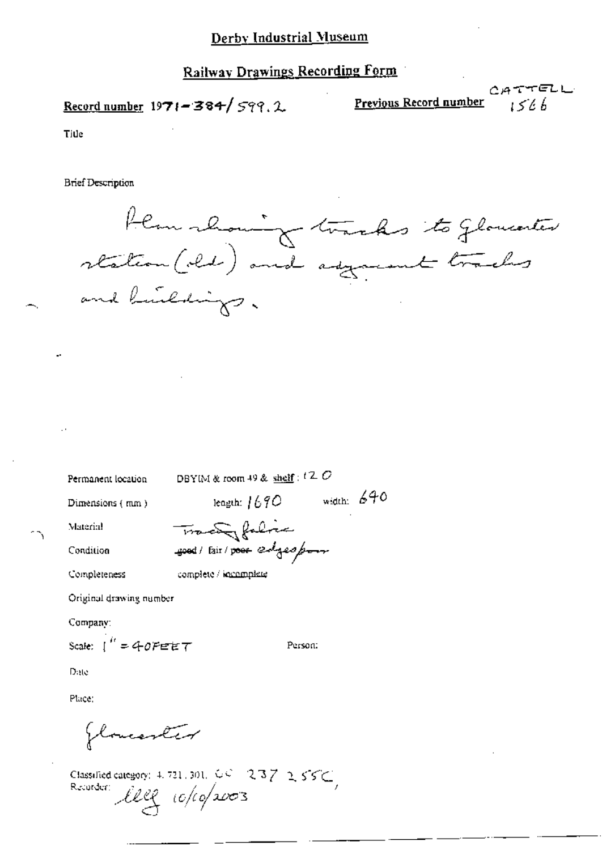## **Railway Drawings Recording Form**

Record number  $1971 - 384 / 599.2$ 

CATTELL Previous Record number  $1566$ 

Title

**Brief Description** 

flamment tracks to glowester and buildings.

Permanent location

DBYIM & room 49 & shelf:  $t \, 2 \, C$ 

length:  $1690$  width:  $640$ 

Person:

Dimensions (mm)

Condition

Material

Completeness

complete / incomplete

Tracky falice

good / fair / poor edges poor

Original drawing number

Company:

Scale:  $\int_0^R = 40$ PEET

Date

Place:

flowerter

Classified category: 4, 721, 301, 60 237 255C,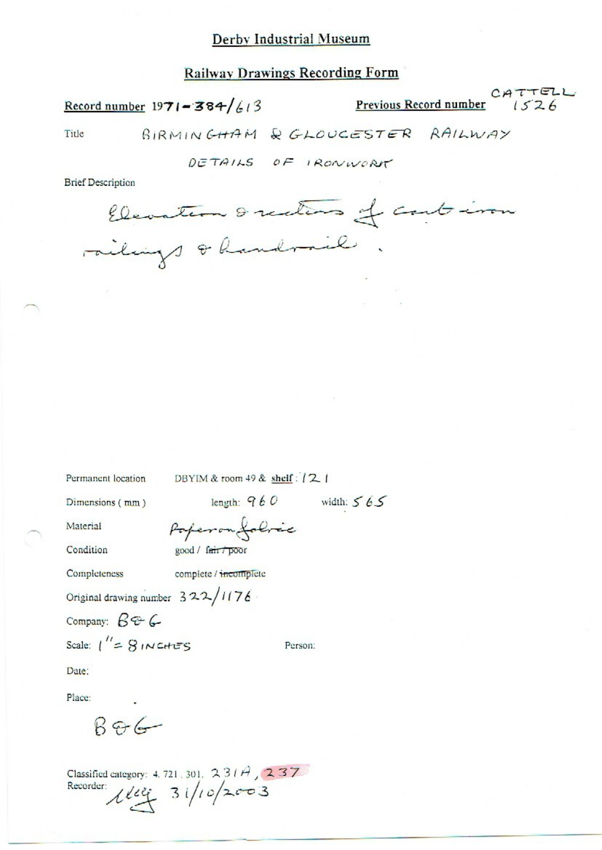## **Railway Drawings Recording Form**

Record number  $1971 - 384/613$ 

Previous Record number  $1526$ 

CATTELL

Title

BIRMINGHAM & GLOUCESTER RAILWAY

DETAILS OF IRONWORK

**Brief Description** 

Elevation & rections of could iron railings & handrail.

Permanent location DBYIM & room 49 & shelf: [2]

Dimensions (mm)

length:  $960$  width:  $565$ 

Person:

Material

Condition

good / fair / poor

Poperon folice

Completeness

complete / incomplete

Original drawing number 322/1176

Company:  $B - C$ 

Scale:  $1'' = 8$  INCHES

Date:

Place:

 $B96$ 

Classified category: 4.721, 301, 231A, 237 Recorder:  $110/2003$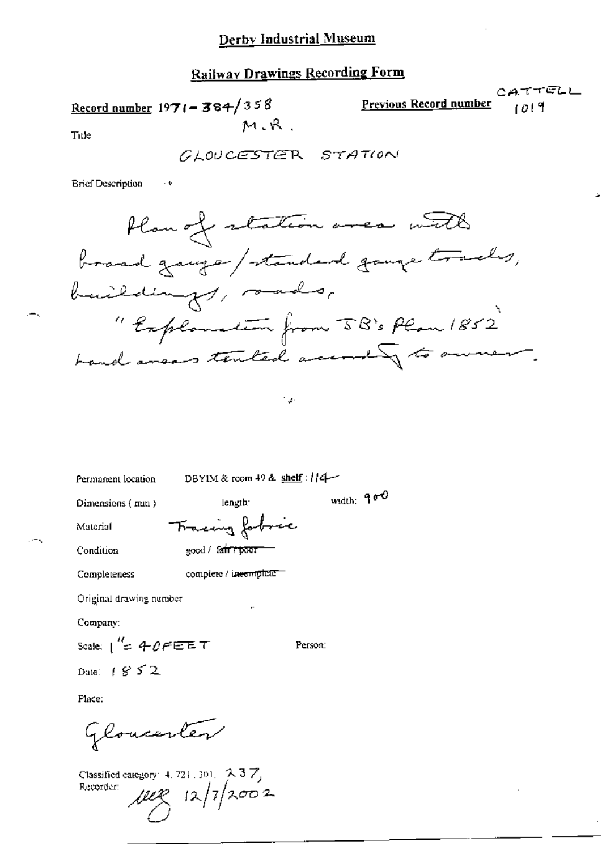### **Railway Drawings Recording Form**

CATTELL Record number  $1971 - 384/358$ Previous Record number ۱٥١٩ M.R

Title

GLOUCESTER STATION

**Brief Description** 

 $\bar{\psi}$ 



ائي "

width: 900

Permanent location

DBYIM & room 49 & shelf:  $1/4$ 

length:

Dimensions (mm)

Tracing fobric

Condition

Material

good / fair? poor

complete / incomplete Completeness

Original drawing number

Company:

Scale:  $1'' = 40FEET$ Person: Date:  $(852)$ 

Place:

Gloucenter

Classified category:  $4.721.301.$   $2.37$ Recorder:

 $\mu$ ez 12/7/2002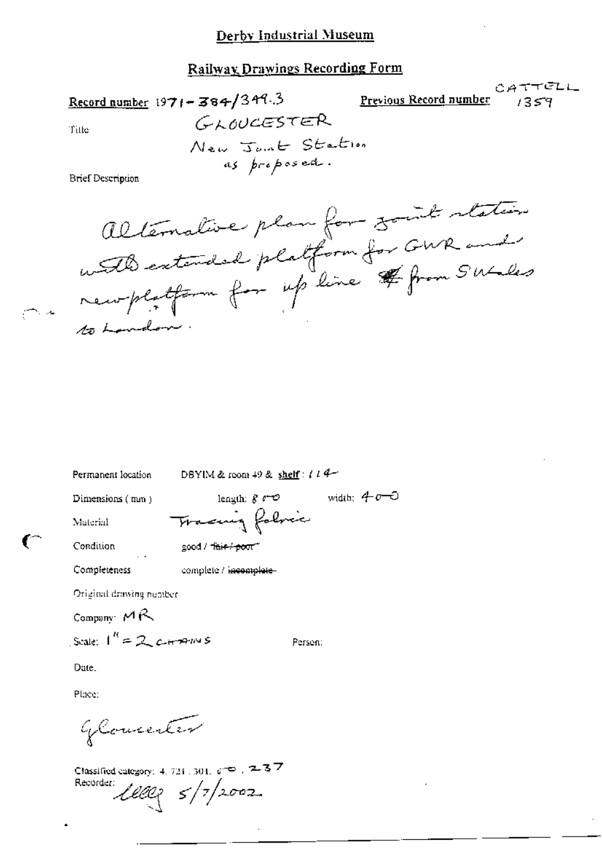#### Railway Drawings Recording Form

Record number  $1971 - 384/349.3$ 

CATTELL Previous Record number

Title

GLOUCESTER New Jont Station as proposed.

**Brief Description** 

alternative plan for somt station with extended platform for GWR and remplatform foir up line # from Suciles

Permanent location

DBYIM & room 49 & shelf:  $l l 4$ 

Person:

width:  $40-0$ 

Dimensions (mm)

length:  $g \sim 2$ Tracing folice

Condition

Material

good / this / poor"

Completeness

complete / <del>incomplete</del>

Original drawing number

Company  $MR$ 

Scale:  $1^R = 2c + 77m$ 

Date.

Place:

Glomester

Classified category: 4, 721, 301,  $\phi$  to  $\pm$  2-3.7 Recorder:  $1000 \frac{3}{10002}$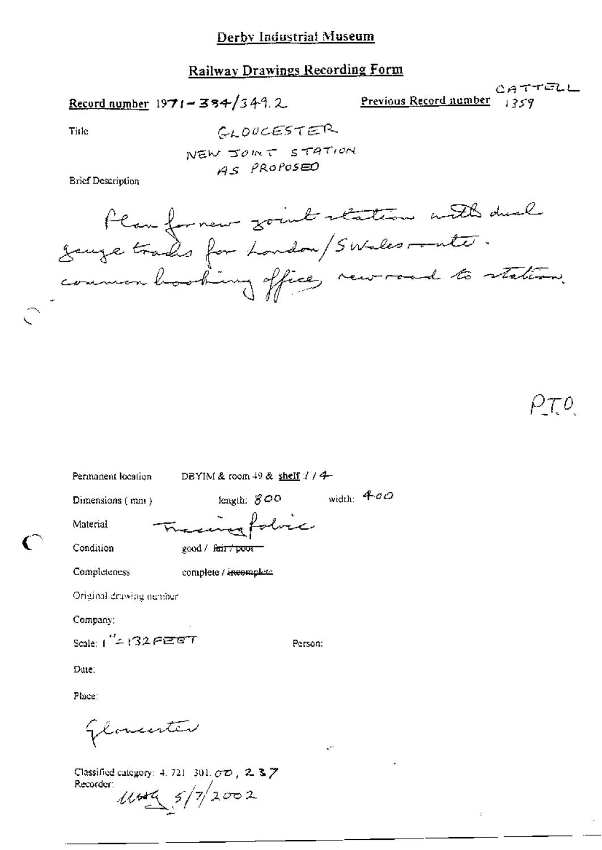# **Railway Drawings Recording Form**

Record number  $1971 - 384/349$ . 2

CATTELL Previous Record number  $1359$ 

Tirle

GLOUCESTER NEW JOINT STATION AS PROPOSED

**Brief Description** 

flanferment gout station with dual<br>jauge trades for London/SWalesrante.<br>common booking office, new road to station.

| Permanent location                                 | DBYIM & room $+9$ & shelf $1/4$ |  |
|----------------------------------------------------|---------------------------------|--|
| Dimensions (mm)                                    | width: $400$<br>length: $800$   |  |
| Material                                           | Training folice                 |  |
| Condition                                          | good / f <del>air/poor</del>    |  |
| Completeness                                       | complete / incomplete           |  |
| Original drawing number                            |                                 |  |
| Company:                                           |                                 |  |
| Scale: $1'' = 132$ $\epsilon$ $\epsilon$ of $\tau$ | Person:                         |  |
| Date:                                              |                                 |  |
| Place:                                             |                                 |  |

Gloventer

Classified category: 4, 721-301,  $\sigma \phi$ , 2, 3, 7 Recorder:  $1144 \times 5/7/2002$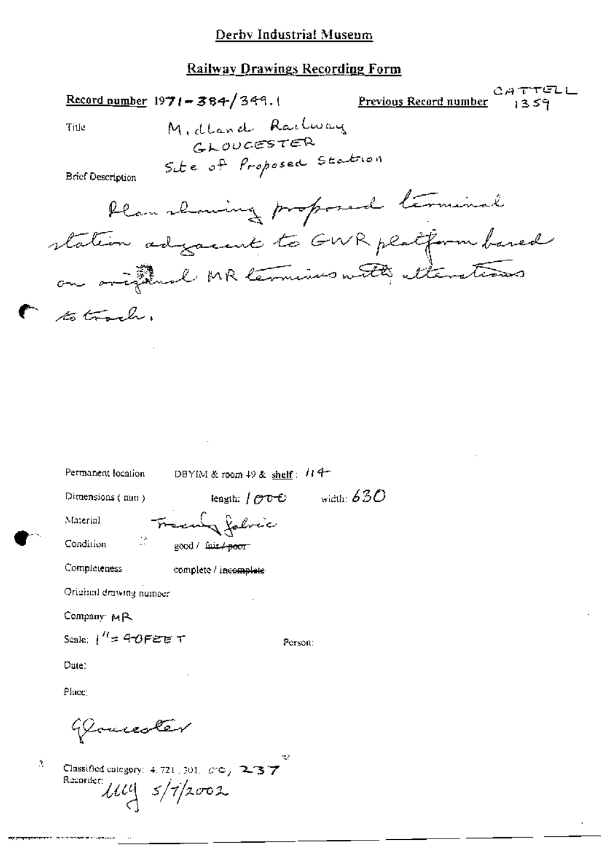# **Railway Drawings Recording Form**

|    |                                                | $Record number 1971 - 384/349.1$                    | <b>ATTELI</b><br><u>Previous Record number</u><br>1359 |
|----|------------------------------------------------|-----------------------------------------------------|--------------------------------------------------------|
|    | Title                                          | Midland Railway<br>GLOUGESTER                       |                                                        |
|    | <b>Brief Description</b>                       | Set e of Proposed Station                           |                                                        |
|    |                                                | Plan showing proposed terminal                      |                                                        |
|    |                                                |                                                     | station adjacent to GWR platform based                 |
|    |                                                | on original MR termins with etterstions             |                                                        |
|    | to trach.                                      |                                                     |                                                        |
|    |                                                |                                                     |                                                        |
|    |                                                |                                                     |                                                        |
|    |                                                |                                                     |                                                        |
|    |                                                |                                                     |                                                        |
|    |                                                |                                                     |                                                        |
|    | Permanent location                             | DBYIM & room 49 & shelf: $114$                      |                                                        |
|    | Dimensions (mm)                                | length: $\int \mathcal{O}^{\ast} \mathbb{C}^{\ast}$ | width: $630$                                           |
|    | Malerial                                       | Freculy fabric                                      |                                                        |
|    | Condition                                      | ें good / क्रिमे <del>∕ poor</del>                  |                                                        |
|    | Completeness                                   | complete / i <del>ncomplete</del>                   |                                                        |
|    | Original drawing number                        |                                                     |                                                        |
|    | Company MR<br>Scale: $1'' = 40$ FEET           |                                                     |                                                        |
|    |                                                | Person:                                             |                                                        |
|    | Date:                                          |                                                     |                                                        |
|    | Place:                                         |                                                     |                                                        |
|    | Yourester                                      |                                                     |                                                        |
| ð, | Recorder:<br>$\mathcal{U}\mathcal{U}$ s/7/2002 | Classified category: 4, 721, 301, 6to / 2-37        |                                                        |
|    |                                                |                                                     |                                                        |

**Haracen Contract Management**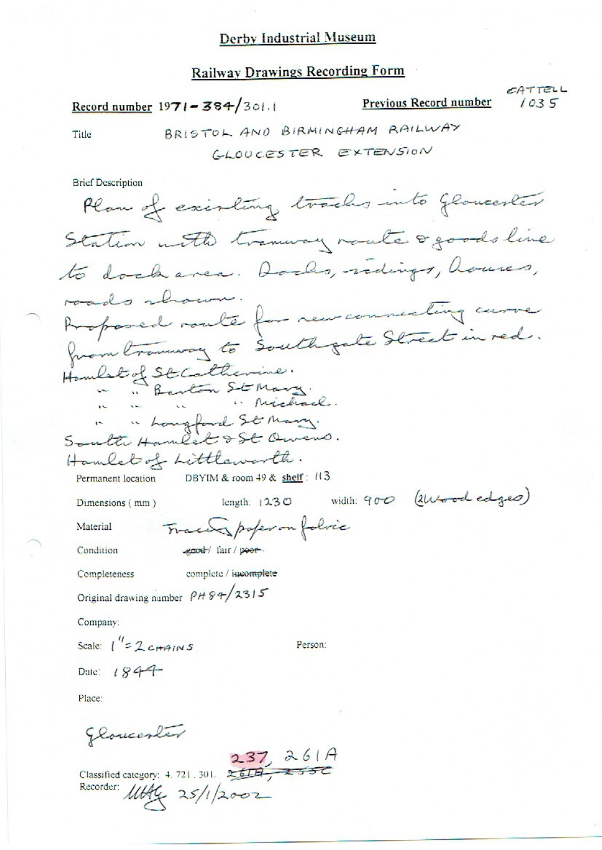## **Railway Drawings Recording Form**

Record number  $1971 - 384/301.1$ 

Previous Record number  $1035$ 

CATTELL

Title

# BRISTOL AND BIRMINGHAM RAILWAY

GLOUCESTER EXTENSION

**Brief Description** 

Plan of existing tracks into Gloucester Station with transvay route ogoods line to dock area. Dochs, redings, houses, roads shown. Proposed route for new connecting curve from tranway to south pate Street in red. Hambet of St Catherine.<br>"Barton St Mary.<br>"Michael. South Hambert St Mary. Hamlet of Littleworth. DBYIM & room  $49$  & shelf:  $113$ Permanent location width: 900 (2Wood edges) length: 1230 Dimensions (mm) Traces poper on folice Material ecod fair / poor-Condition complete / igeomplete Completeness Original drawing number  $P H 89/2315$ Company: Scale:  $\int_{0}^{\prime\prime} = 2c + 4\pi$ Person: Date:  $1844$ Place:

gloucester

Classified category: 4.721.301.  $237, 261A$ <br>Recorder: 1,114 Recorder: 11644 25/1/2002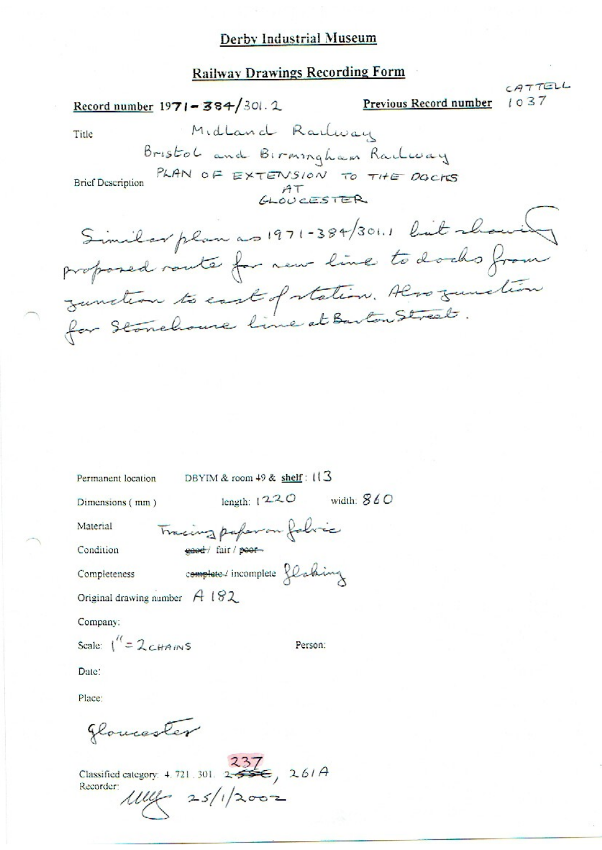#### **Railway Drawings Recording Form**

CATTELL Record number  $1971 - 384/301.2$ Previous Record number  $1037$ Midland Railway Title Bristol and Birmingham Railway PLAN OF EXTENSION TO THE DOCTS **Brief Description**  $A<sup>T</sup>$ Similar plan as 1971-384/301.1 lint chave proposed route for new line to docks from Junction to east of station. Also zunction Permanent location DBYIM & room 49 & shelf: 113

Tracing paper on folice

Dimensions (mm)

length:  $1220$  width:  $860$ 

Material Condition

ease+/ fair / poor-

Completeness

complete / incomplete flaking

Person:

Original drawing number  $A$  182

Company:

Scale:  $1'' = 2c_{\text{HAIN}}s$ 

Date:

Place:

gloucester

Classified category: 4.721.301. 237 , 261A<br>Recorder:  $\mu = 25/1/2002$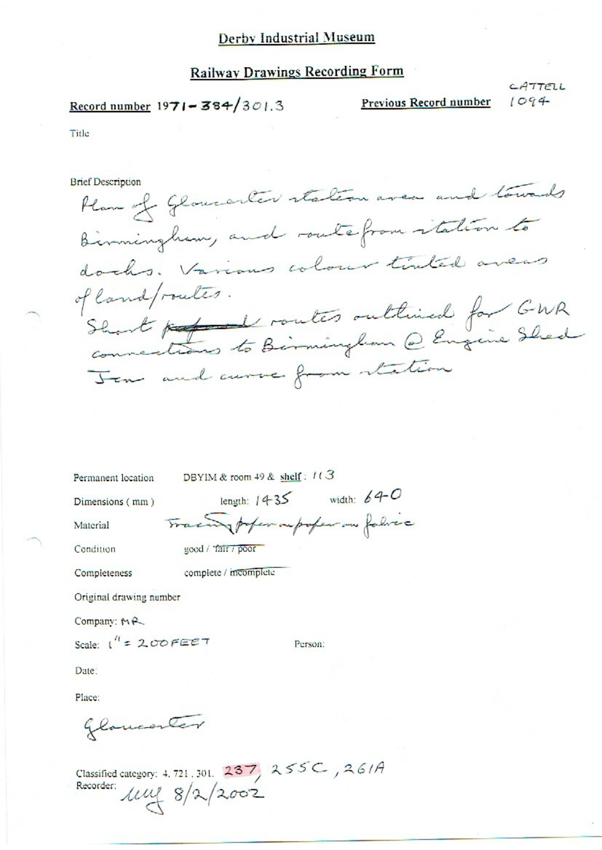#### **Railway Drawings Recording Form**

# Record number  $1971 - 384/301.3$

Previous Record number

CATTELL  $1094$ 

Title

**Brief Description** 

Han of Gloricaler station avec and towards Birmingham, and routefrom italian to docks. Various colour tinted avers of land/routes. Short porter routes outlined for GNR Jean and curve from station

Permanent location DBYIM & room 49 & shelf: 113

good / Tair / poor

Dimensions (mm)

length:  $1435$  width:  $640$ Traing poper ou poper on fabrec

Condition

Material

complete / incomplete Completeness

Original drawing number

Company: MR

Scale:  $1^{11}$  = 200 FEET

Person:

Date:

Place:

glomanter

Classified category: 4.721.301. 237, 255C, 261A<br>Recorder:  $\text{MW} \begin{array}{c} 8/\text{2}/2002 \end{array}$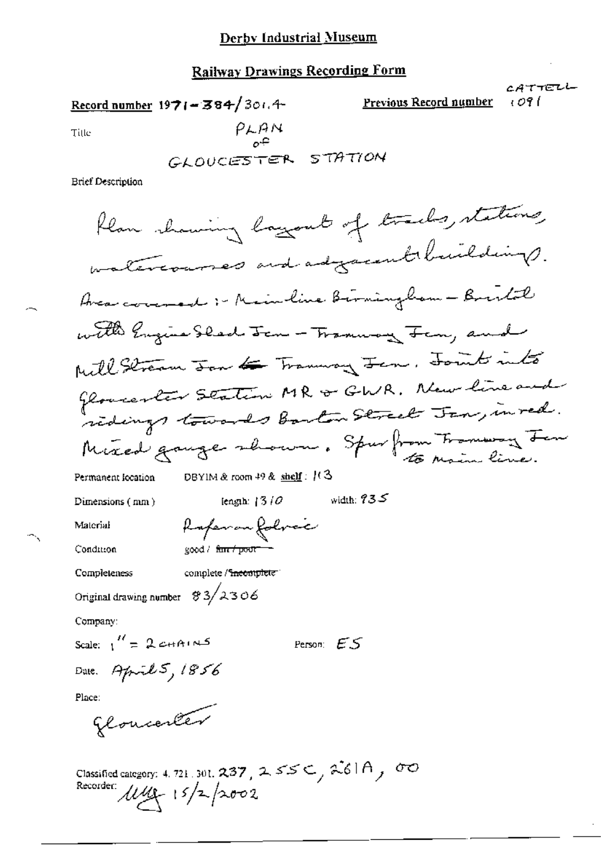## **Railway Drawings Recording Form**

CATTELL Record number  $1971 - 384/301.4$ **Previous Record number** ا 09 ا  $PLAM$ Title STATION GLOUCESTER **Brief Description** flan showing layout of tracks, stations, materionnes and adjacent buildings. Avea covered :- Mainline Birmingham - Bristol with Engine Sleed Jan - Tramway Fan, and Mill Stream Jan de Trannay Jan. Joints into Gloventer Station MR & GWR. New line and ridings towards barton Street Jan, in red. Mixed gauge shown. Spurfrom Tromway Jen DBYIM & room  $49$  & shelf:  $(3)$ Permanent location width:  $935$ length:  $13/0$ Dimensions (mm) Rafer on folvec Material Condition good / fan / poor Completeness complete / incomplete Original drawing number  $\frac{83}{2306}$ Company: Scale:  $\frac{H}{1} = 2cHAtM^2$ Person:  $ES$ Date. April 5, 1856 Place: glouenter

Classified category: 4.721.301. 237, 255C, 261A, 00<br>Recorder:  $\mu\mu$  15/2/2002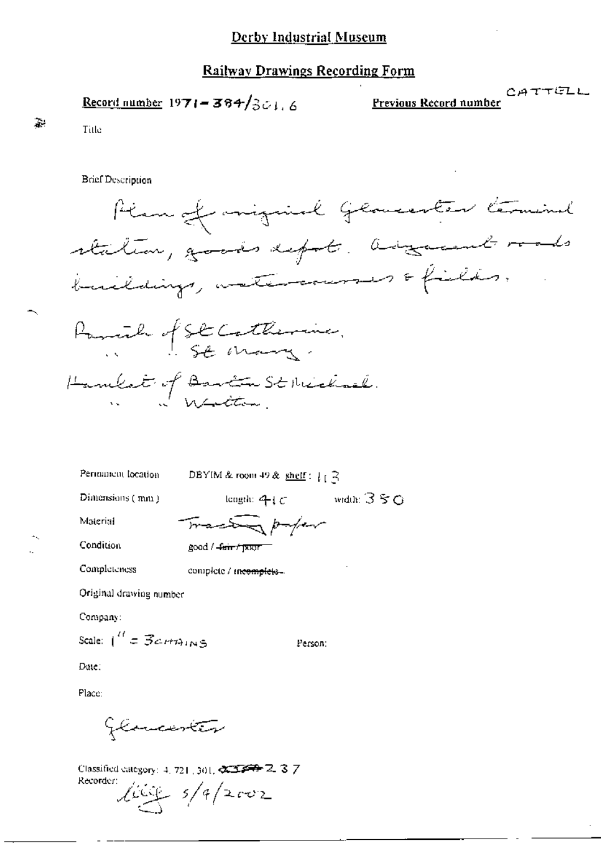#### **Railway Drawings Recording Form**

Record number 1971 = 384/301.6

CATTELL Previous Record number

 $\mathbf{a}$ 

**Brief Description** 

Title



Perminent location

DBYIM & room 49 & shelf:  $\int_{0}^{1}$ 

Dimensions (mm)

length:  $4c$  width:  $350$ Tractor paper

Material

Condition

Completeness

 $good / 4$ arr  $t$  | XXII

complete / meemplets...

Original drawing number

Company:

Scale:  $\int_0^{H} \sigma \vec{B}$ c-rit $\Delta_{I}$ 

Person:

Date:

Place:

Glancester

Classified category: 4, 721, 301,  $\sqrt{23}$   $\rightarrow$  2, 3, 7 Recorder:  $\frac{2000}{2}$  5/9/2002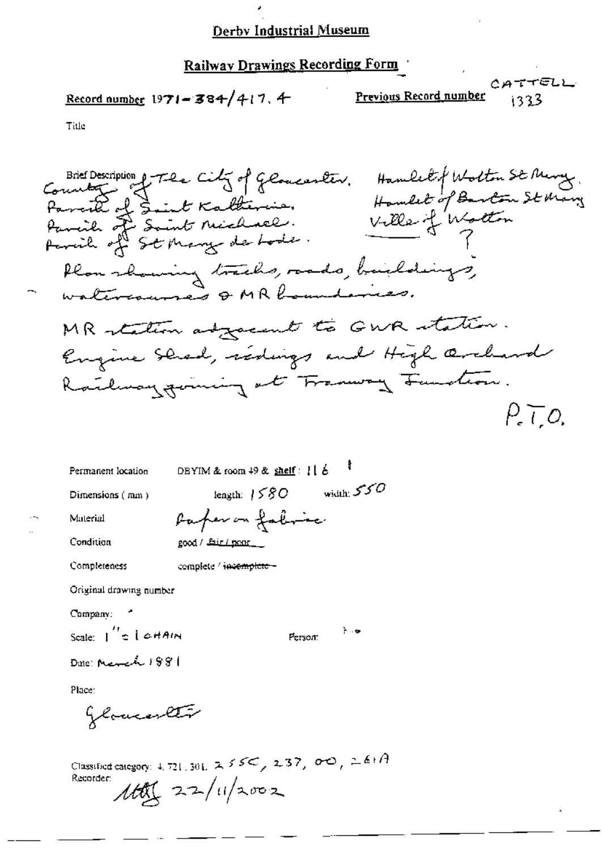# Railway Drawings Recording Form

Previous Record number

CATTELL 1333

Title

| Permanent location                             | DBYIM & room 49 & shelf: [[ b  |  |
|------------------------------------------------|--------------------------------|--|
| Dimensions $(mn)$                              | width: $550$<br>length: $1580$ |  |
| Material                                       | Parfer on fabric               |  |
| Condition                                      | good / Lair / pont_            |  |
| Completeness                                   | complete / incomplete -        |  |
| Original drawing number                        |                                |  |
| Company:                                       |                                |  |
| Scale: $\int_0^{t_1} z \, \int \phi \, H A(t)$ | ⊹ ⊹<br>Person:                 |  |

Date: March 1981

Place:

Glomester

Classified category: 4, 721, 301,  $2.55<$ ,  $2.37$ ,  $0<sup>o</sup>$ ,  $2.6+A$  $110$   $22/11/2002$ Recorder: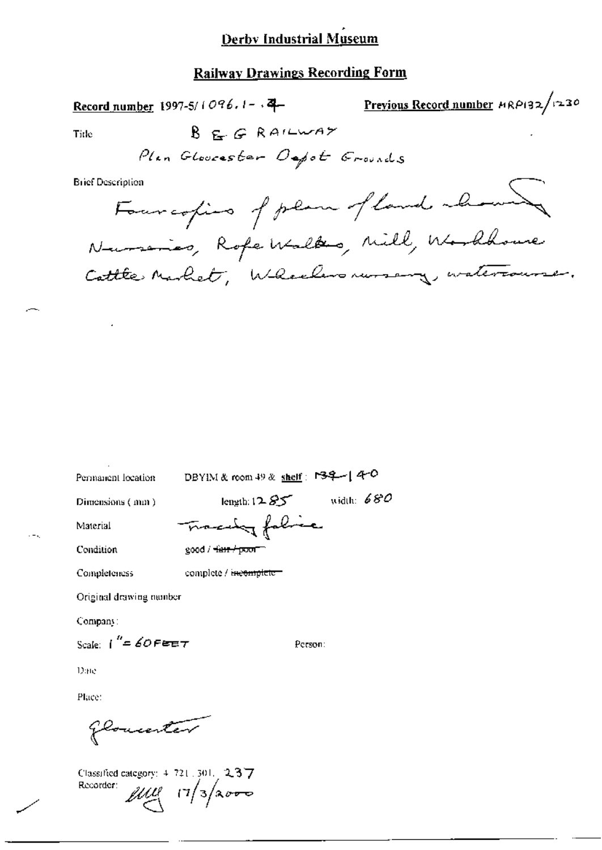#### **Railway Drawings Recording Form**

Previous Record number HRP132/1230 Record number 1997-5/1096.1- $\sqrt{4}$ REGRAILWAY Title Plan Glovester Oepot Grounds **Brief Description** Fourcofies of plan of land above Nursines, Rofe Walks, Mill, Worldsoure Cattle Market, Wheelersnursery, watercourse.

Permanent location

DBYIM & room 49 & shelf: 139-14-0

Dimensions (mm)

length: 12  $85$  width: 680 Tracing folice

Material Condition

 $good / ~~4~~$ 

Completeness

complete / incomplete

Original drawing number

Company:

Scale:  $i'' = 60$  Feet

Person:

Dine

Place:

glomenter

Classified category: 4-721, 301, 2-3-7 Recorder:  $\mu\mu$   $(7/3)\sim$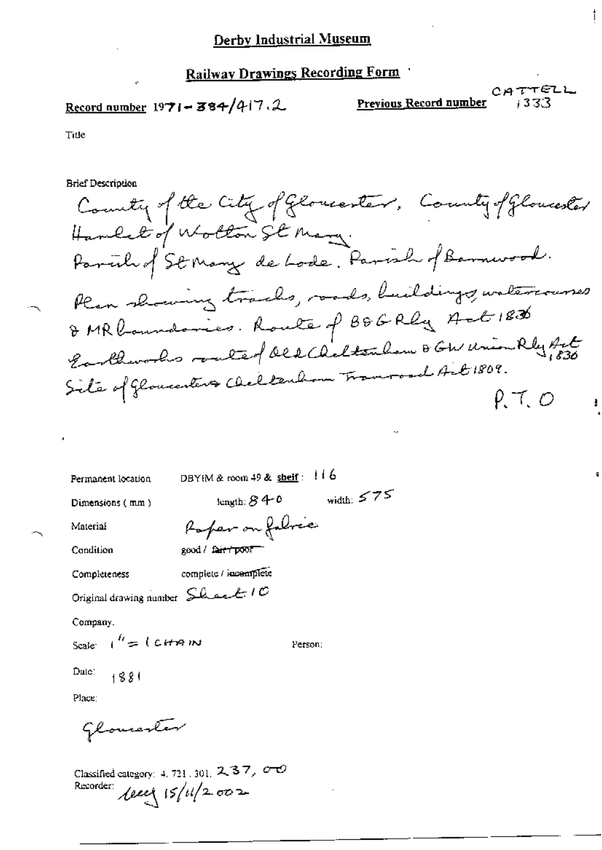## Railway Drawings Recording Form

# Record number  $1971 - 384/417.2$

Previous Record number

CATTELL 1333

Title

**Brief Description** 

County of the City of Gloriantes, County of Gloriantes Handel of Wollow St Mary. Parcil of St Many de Lode. Parcil of Barnwood. Plan showing tracks, roads, buildings, watercourses DMR boundaries. Route of BDGRly Act 1836 Earthworks routed des Alterdam B GW Union Rly Art  $P, T, O$ 

| Permanent location                              | DBYIM & room 49 & shelf: $116$ |
|-------------------------------------------------|--------------------------------|
| Dimensions (mm)                                 | width: $575$<br>length: $840$  |
| Material                                        | Paper on folice                |
| Condition                                       | good / fair / poor             |
| Completeness                                    | complete / incemplete          |
| Original drawing number $S_{\text{back}}$ / $C$ |                                |
| Company.                                        |                                |
| Scale $t'' = 1$ carrying                        | Person:                        |
| Date: $+881$                                    |                                |
| Place:                                          |                                |
|                                                 |                                |

Glovester

Classified category: 4, 721, 301,  $237, 00$ Recorder:  $\text{Area} (5/11/2.002)$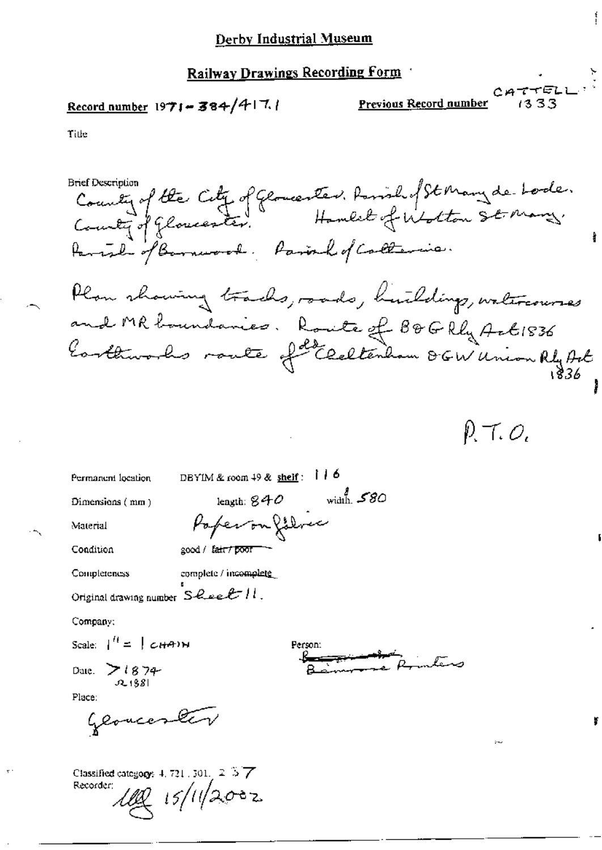## Railway Drawings Recording Form

# Record number 1971-384/417.1

Previous Record number

CATTELI  $1333$ 

Title

Bret Description Caty of Glomeenten. Parish of St Many de-Lode.<br>County of Glomeenter. Hambel of Wolton St. Many.<br>Parish of Barnwood. Parish of California. **Brief Description** Plan showing tracks, roads, huildings, watercourses and MR boundaries. Route of 80G Rly Act 1836

P. T. O,

DBYIM & room  $49$  & shelf:  $116$ Permanent location length:  $840$  width.  $580$ Dimensions (mm) Poperonfollow Material Condition good / fair / poor complete / incomplete Completeness Original drawing number  $S$  *Quee E*  $H$ . Company: Scale:  $\begin{vmatrix} u & v \\ v & w \end{vmatrix}$   $\in$   $\begin{vmatrix} 1 & v \\ v & w \end{vmatrix}$ Person: Date. 7 (874- $22138$ Place: Geoverno Classified category: 4, 721, 301, 2 37 Recorder: *(l 15/11/20*02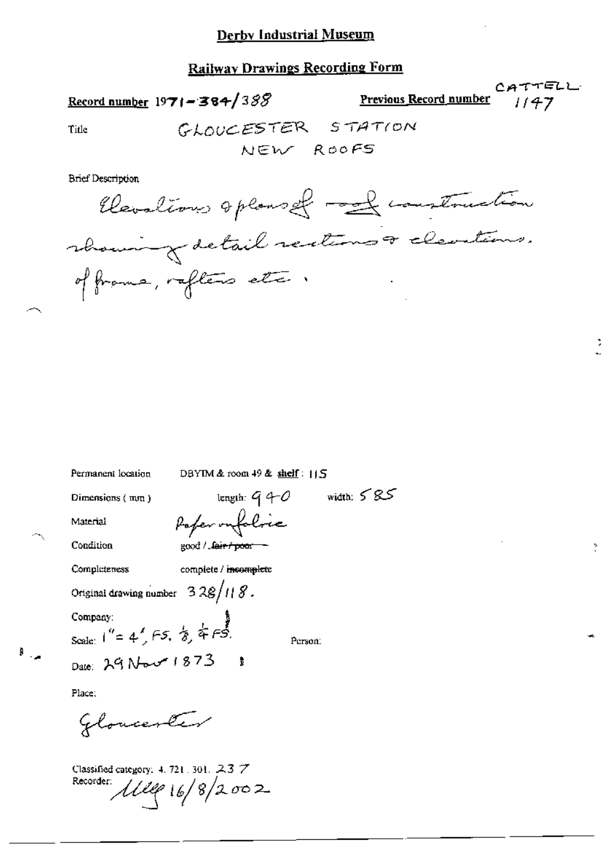## **Railway Drawings Recording Form**

Record number  $1971 - 384/388$ 

Previous Record number

Title

**Brief Description** 

Elevations optoms of mand construction rhowing detail rections a cleartions. of frame, reflers etc.

Permanent location

DBYIM & room 49 & shelf: 115

length:  $9 - 0$ 

Dimensions (mm)

Material

Condition

Completeness

complete / incomplete

good / fair / poor -

Paper onfolice

Original drawing number  $328/118$ .

Date: 29 Novement 1873

Company: Scale:  $1'' = 4'$ , FS,  $8/4$ , FS.

Person:

width:  $585$ 

Place:

 $\mathbb{F}_{\geq 0}$ 

Gloventer

Classified category: 4, 721, 301, 237 Recorder:  $111916/8/2002$